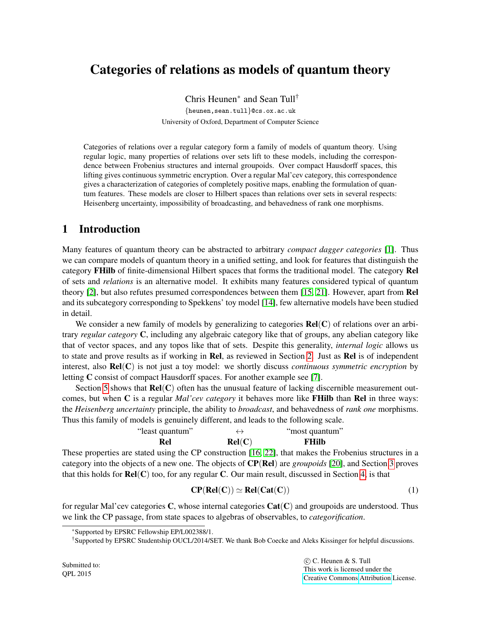# Categories of relations as models of quantum theory

Chris Heunen<sup>∗</sup> and Sean Tull† {heunen,sean.tull}@cs.ox.ac.uk University of Oxford, Department of Computer Science

Categories of relations over a regular category form a family of models of quantum theory. Using regular logic, many properties of relations over sets lift to these models, including the correspondence between Frobenius structures and internal groupoids. Over compact Hausdorff spaces, this lifting gives continuous symmetric encryption. Over a regular Mal'cev category, this correspondence gives a characterization of categories of completely positive maps, enabling the formulation of quantum features. These models are closer to Hilbert spaces than relations over sets in several respects: Heisenberg uncertainty, impossibility of broadcasting, and behavedness of rank one morphisms.

# 1 Introduction

Many features of quantum theory can be abstracted to arbitrary *compact dagger categories* [\[1\]](#page-11-0). Thus we can compare models of quantum theory in a unified setting, and look for features that distinguish the category FHilb of finite-dimensional Hilbert spaces that forms the traditional model. The category Rel of sets and *relations* is an alternative model. It exhibits many features considered typical of quantum theory [\[2\]](#page-11-1), but also refutes presumed correspondences between them [\[15,](#page-12-0) [21\]](#page-12-1). However, apart from Rel and its subcategory corresponding to Spekkens' toy model [\[14\]](#page-12-2), few alternative models have been studied in detail.

We consider a new family of models by generalizing to categories  $Rel(C)$  of relations over an arbitrary *regular category* C, including any algebraic category like that of groups, any abelian category like that of vector spaces, and any topos like that of sets. Despite this generality, *internal logic* allows us to state and prove results as if working in Rel, as reviewed in Section [2.](#page-2-0) Just as Rel is of independent interest, also Rel(C) is not just a toy model: we shortly discuss *continuous symmetric encryption* by letting C consist of compact Hausdorff spaces. For another example see [\[7\]](#page-11-2).

Section [5](#page-8-0) shows that  $Rel(C)$  often has the unusual feature of lacking discernible measurement outcomes, but when C is a regular *Mal'cev category* it behaves more like FHilb than Rel in three ways: the *Heisenberg uncertainty* principle, the ability to *broadcast*, and behavedness of *rank one* morphisms. Thus this family of models is genuinely different, and leads to the following scale.

| "least quantum" | $\leftrightarrow$ | "most quantum" |
|-----------------|-------------------|----------------|
| Rel             | Rel(C)            | <b>FHilb</b>   |

These properties are stated using the CP construction [\[16,](#page-12-3) [22\]](#page-12-4), that makes the Frobenius structures in a category into the objects of a new one. The objects of CP(Rel) are *groupoids* [\[20\]](#page-12-5), and Section [3](#page-4-0) proves that this holds for  $\text{Rel}(C)$  too, for any regular C. Our main result, discussed in Section [4,](#page-6-0) is that

<span id="page-0-0"></span>
$$
CP(Rel(C)) \simeq Rel(Cat(C))
$$
 (1)

for regular Mal'cev categories C, whose internal categories  $Cat(C)$  and groupoids are understood. Thus we link the CP passage, from state spaces to algebras of observables, to *categorification*.

<sup>∗</sup>Supported by EPSRC Fellowship EP/L002388/1.

<sup>†</sup>Supported by EPSRC Studentship OUCL/2014/SET. We thank Bob Coecke and Aleks Kissinger for helpful discussions.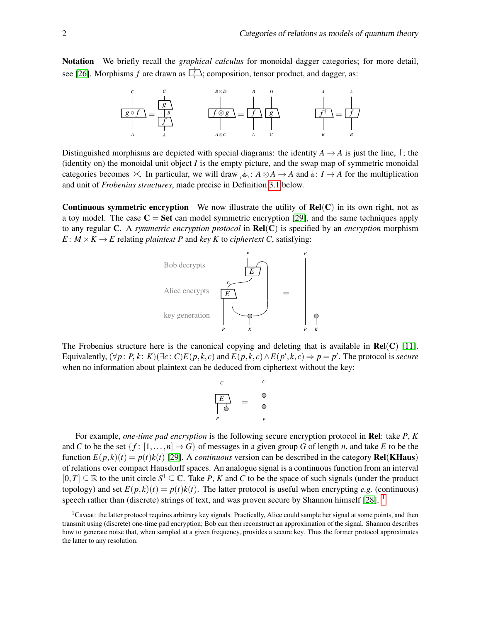Notation We briefly recall the *graphical calculus* for monoidal dagger categories; for more detail, see [\[26\]](#page-12-6). Morphisms  $f$  are drawn as  $\boxed{f}$ ; composition, tensor product, and dagger, as:



Distinguished morphisms are depicted with special diagrams: the identity  $A \rightarrow A$  is just the line,  $\vert$ ; the (identity on) the monoidal unit object *I* is the empty picture, and the swap map of symmetric monoidal categories becomes  $\times$ . In particular, we will draw  $\oint$ :  $A \otimes A \to A$  and  $\oint$ :  $I \to A$  for the multiplication and unit of *Frobenius structures*, made precise in Definition [3.1](#page-4-1) below.

**Continuous symmetric encryption** We now illustrate the utility of  $Rel(C)$  in its own right, not as a toy model. The case  $C = Set$  can model symmetric encryption [\[29\]](#page-12-7), and the same techniques apply to any regular C. A *symmetric encryption protocol* in Rel(C) is specified by an *encryption* morphism  $E: M \times K \rightarrow E$  relating *plaintext P* and *key K* to *ciphertext C*, satisfying:



The Frobenius structure here is the canonical copying and deleting that is available in  $Rel(C)$  [\[11\]](#page-12-8). Equivalently,  $(\forall p: P, k: K)(\exists c: C) E(p,k,c)$  and  $E(p,k,c) \wedge E(p',k,c) \Rightarrow p = p'$ . The protocol is secure when no information about plaintext can be deduced from ciphertext without the key:

$$
\begin{array}{ccc}\nC & & & C \\
E & & & \downarrow \\
\hline\nE & & & \downarrow \\
P & & & P\n\end{array}
$$

For example, *one-time pad encryption* is the following secure encryption protocol in Rel: take *P*, *K* and *C* to be the set  $\{f: [1, \ldots, n] \to G\}$  of messages in a given group *G* of length *n*, and take *E* to be the function  $E(p, k)(t) = p(t)k(t)$  [\[29\]](#page-12-7). A *continuous* version can be described in the category **Rel(KHaus**) of relations over compact Hausdorff spaces. An analogue signal is a continuous function from an interval  $[0,T] \subseteq \mathbb{R}$  to the unit circle  $S^1 \subseteq \mathbb{C}$ . Take *P*, *K* and *C* to be the space of such signals (under the product topology) and set  $E(p, k)(t) = p(t)k(t)$ . The latter protocol is useful when encrypting *e.g.* (continuous) speech rather than (discrete) strings of text, and was proven secure by Shannon himself  $[28]$ . <sup>[1](#page-1-0)</sup>

<span id="page-1-0"></span><sup>&</sup>lt;sup>1</sup>Caveat: the latter protocol requires arbitrary key signals. Practically, Alice could sample her signal at some points, and then transmit using (discrete) one-time pad encryption; Bob can then reconstruct an approximation of the signal. Shannon describes how to generate noise that, when sampled at a given frequency, provides a secure key. Thus the former protocol approximates the latter to any resolution.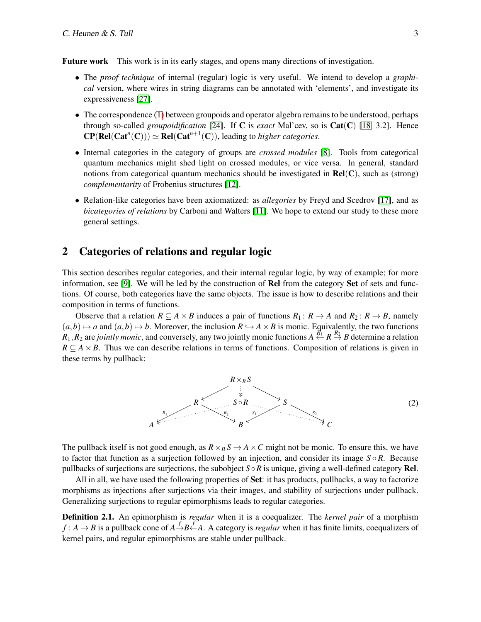Future work This work is in its early stages, and opens many directions of investigation.

- The *proof technique* of internal (regular) logic is very useful. We intend to develop a *graphical* version, where wires in string diagrams can be annotated with 'elements', and investigate its expressiveness [\[27\]](#page-12-10).
- The correspondence [\(1\)](#page-0-0) between groupoids and operator algebra remains to be understood, perhaps through so-called *groupoidification* [\[24\]](#page-12-11). If C is *exact* Mal'cev, so is Cat(C) [\[18,](#page-12-12) 3.2]. Hence  $\mathbf{CP}(\mathbf{Rel}(\mathbf{Cat}^n(\mathbf{C}))) \simeq \mathbf{Rel}(\mathbf{Cat}^{n+1}(\mathbf{C}))$ , leading to *higher categories*.
- Internal categories in the category of groups are *crossed modules* [\[8\]](#page-11-3). Tools from categorical quantum mechanics might shed light on crossed modules, or vice versa. In general, standard notions from categorical quantum mechanics should be investigated in  $Rel(C)$ , such as (strong) *complementarity* of Frobenius structures [\[12\]](#page-12-13).
- Relation-like categories have been axiomatized: as *allegories* by Freyd and Scedrov [\[17\]](#page-12-14), and as *bicategories of relations* by Carboni and Walters [\[11\]](#page-12-8). We hope to extend our study to these more general settings.

## <span id="page-2-0"></span>2 Categories of relations and regular logic

This section describes regular categories, and their internal regular logic, by way of example; for more information, see [\[9\]](#page-11-4). We will be led by the construction of Rel from the category Set of sets and functions. Of course, both categories have the same objects. The issue is how to describe relations and their composition in terms of functions.

Observe that a relation  $R \subseteq A \times B$  induces a pair of functions  $R_1: R \to A$  and  $R_2: R \to B$ , namely  $(a,b) \mapsto a$  and  $(a,b) \mapsto b$ . Moreover, the inclusion  $R \hookrightarrow A \times B$  is monic. Equivalently, the two functions  $R_1, R_2$  are *jointly monic*, and conversely, any two jointly monic functions  $A \overset{R_1}{\leftarrow} R \overset{R_2}{\rightarrow} B$  determine a relation  $R \subseteq A \times B$ . Thus we can describe relations in terms of functions. Composition of relations is given in these terms by pullback:

<span id="page-2-1"></span>

The pullback itself is not good enough, as  $R \times_B S \to A \times C$  might not be monic. To ensure this, we have to factor that function as a surjection followed by an injection, and consider its image  $S \circ R$ . Because pullbacks of surjections are surjections, the subobject  $S \circ R$  is unique, giving a well-defined category **Rel**.

All in all, we have used the following properties of Set: it has products, pullbacks, a way to factorize morphisms as injections after surjections via their images, and stability of surjections under pullback. Generalizing surjections to regular epimorphisms leads to regular categories.

Definition 2.1. An epimorphism is *regular* when it is a coequalizer. The *kernel pair* of a morphism  $f: A \to B$  is a pullback cone of  $A \stackrel{f}{\to} B \stackrel{f}{\leftarrow} A$ . A category is *regular* when it has finite limits, coequalizers of kernel pairs, and regular epimorphisms are stable under pullback.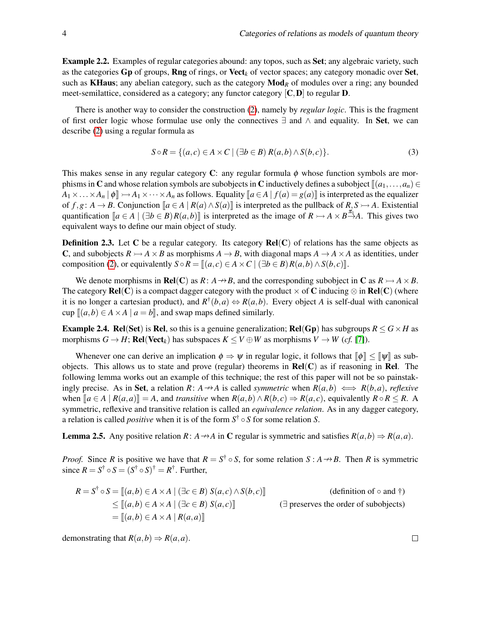Example 2.2. Examples of regular categories abound: any topos, such as Set; any algebraic variety, such as the categories Gp of groups, Rng of rings, or Vect*<sup>k</sup>* of vector spaces; any category monadic over Set, such as **KHaus**; any abelian category, such as the category  $\text{Mod}_R$  of modules over a ring; any bounded meet-semilattice, considered as a category; any functor category  $[C, D]$  to regular **D**.

There is another way to consider the construction [\(2\)](#page-2-1), namely by *regular logic*. This is the fragment of first order logic whose formulae use only the connectives  $\exists$  and  $\wedge$  and equality. In Set, we can describe [\(2\)](#page-2-1) using a regular formula as

$$
S \circ R = \{(a, c) \in A \times C \mid (\exists b \in B) R(a, b) \land S(b, c)\}.
$$
\n(3)

This makes sense in any regular category C: any regular formula  $\phi$  whose function symbols are morphisms in C and whose relation symbols are subobjects in C inductively defines a subobject  $[(a_1, \ldots, a_n) \in$  $A_1 \times \ldots \times A_n | \phi \| \rightarrowtail A_1 \times \cdots \times A_n$  as follows. Equality  $\llbracket a \in A | f(a) = g(a) \rrbracket$  is interpreted as the equalizer of  $f, g: A \to B$ . Conjunction  $[ a \in A \mid R(a) \wedge S(a) ]$  is interpreted as the pullback of  $R, S \to A$ . Existential quantification  $[a \in A \mid (\exists b \in B)R(a, b)]$  is interpreted as the image of  $R \rightarrow A \times B \stackrel{\pi}{\rightarrow} A$ . This gives two equivalent ways to define our main object of study.

**Definition 2.3.** Let C be a regular category. Its category  $Rel(C)$  of relations has the same objects as **C**, and subobjects  $R \rightarrow A \times B$  as morphisms  $A \rightarrow B$ , with diagonal maps  $A \rightarrow A \times A$  as identities, under composition [\(2\)](#page-2-1), or equivalently  $S \circ R = \mathbb{I}(a, c) \in A \times C \mid (\exists b \in B) R(a, b) \wedge S(b, c) \mathbb{I}.$ 

We denote morphisms in **Rel**(C) as  $R: A \rightarrow B$ , and the corresponding subobject in C as  $R \rightarrow A \times B$ . The category  $\text{Rel}(C)$  is a compact dagger category with the product  $\times$  of C inducing  $\otimes$  in  $\text{Rel}(C)$  (where it is no longer a cartesian product), and  $R^{\dagger}(b,a) \Leftrightarrow R(a,b)$ . Every object *A* is self-dual with canonical cup  $[(a, b) \in A \times A \mid a = b]$ , and swap maps defined similarly.

**Example 2.4. Rel(Set)** is **Rel**, so this is a genuine generalization; **Rel(Gp)** has subgroups  $R \le G \times H$  as morphisms  $G \to H$ ; **Rel**(Vect<sub>k</sub>) has subspaces  $K \leq V \oplus W$  as morphisms  $V \to W$  (*cf.* [\[7\]](#page-11-2)).

Whenever one can derive an implication  $\phi \Rightarrow \psi$  in regular logic, it follows that  $\llbracket \phi \rrbracket \leq \llbracket \psi \rrbracket$  as subobjects. This allows us to state and prove (regular) theorems in  $\text{Rel}(C)$  as if reasoning in Rel. The following lemma works out an example of this technique; the rest of this paper will not be so painstakingly precise. As in **Set**, a relation *R*:  $A \rightarrow A$  is called *symmetric* when  $R(a,b) \iff R(b,a)$ , *reflexive* when  $[a \in A \mid R(a,a)] = A$ , and transitive when  $R(a,b) \wedge R(b,c) \Rightarrow R(a,c)$ , equivalently  $R \circ R \leq R$ . A symmetric, reflexive and transitive relation is called an *equivalence relation*. As in any dagger category, a relation is called *positive* when it is of the form *S* † ◦ *S* for some relation *S*.

<span id="page-3-0"></span>**Lemma 2.5.** Any positive relation *R*: *A*  $\rightarrow$  *A* in **C** regular is symmetric and satisfies  $R(a,b) \Rightarrow R(a,a)$ .

*Proof.* Since *R* is positive we have that  $R = S^{\dagger} \circ S$ , for some relation  $S : A \rightarrow B$ . Then *R* is symmetric since  $R = S^{\dagger} \circ S = (S^{\dagger} \circ S)^{\dagger} = R^{\dagger}$ . Further,

$$
R = S^{\dagger} \circ S = [[a, b) \in A \times A \mid (\exists c \in B) S(a, c) \land S(b, c)]
$$
 (definition of  $\circ$  and  $\dagger$ )  
\n
$$
\leq [[a, b) \in A \times A \mid (\exists c \in B) S(a, c)]
$$
  
\n
$$
= [[a, b) \in A \times A \mid R(a, a)]
$$
  
\n
$$
( \exists \text{ preserves the order of subobjects})
$$

demonstrating that  $R(a,b) \Rightarrow R(a,a)$ .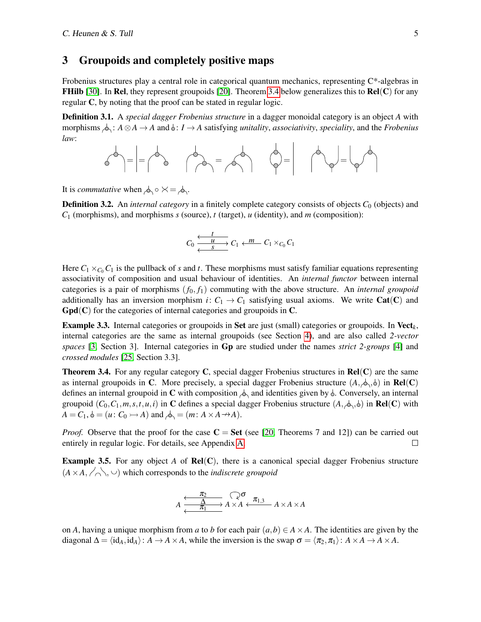#### <span id="page-4-0"></span>3 Groupoids and completely positive maps

Frobenius structures play a central role in categorical quantum mechanics, representing C\*-algebras in **FHilb** [\[30\]](#page-12-15). In **Rel**, they represent groupoids [\[20\]](#page-12-5). Theorem [3.4](#page-4-2) below generalizes this to **Rel**(C) for any regular C, by noting that the proof can be stated in regular logic.

<span id="page-4-1"></span>Definition 3.1. A *special dagger Frobenius structure* in a dagger monoidal category is an object *A* with morphisms  $\phi$ :  $A \otimes A \rightarrow A$  and  $\phi$ :  $I \rightarrow A$  satisfying *unitality*, *associativity*, *speciality*, and the *Frobenius law*:

$$
\text{sech} = \left| \frac{1}{\sqrt{2}} \right| \text{sech} = \text{sech} \qquad \text{sech} = \text{sech} \qquad \text{sech} = \text{sech} \qquad \text{sech} = \text{sech} \qquad \text{sech} = \text{sech} \qquad \text{sech} = \text{sech} \qquad \text{sech} = \text{sech} \qquad \text{sech} = \text{sech} \qquad \text{sech} = \text{sech} \qquad \text{sech} = \text{sech} \qquad \text{sech} = \text{sech} \qquad \text{sech} = \text{sech} \qquad \text{sech} = \text{sech} \qquad \text{sech} = \text{sech} \qquad \text{sech} = \text{sech} \qquad \text{sech} = \text{sech} \qquad \text{sech} = \text{sech} \qquad \text{sech} = \text{sech} \qquad \text{sech} = \text{sech} \qquad \text{sech} = \text{sech} \qquad \text{sech} = \text{sech} \qquad \text{sech} = \text{sech} \qquad \text{sech} = \text{sech} \qquad \text{sech} = \text{sech} \qquad \text{sech} = \text{sech} \qquad \text{sech} = \text{sech} \qquad \text{sech} = \text{sech} \qquad \text{sech} = \text{sech} \qquad \text{sech} = \text{sech} \qquad \text{sech} = \text{sech} \qquad \text{sech} = \text{sech} \qquad \text{sech} = \text{sech} \qquad \text{sech} = \text{sech} \qquad \text{sech} = \text{sech} \qquad \text{sech} = \text{sech} \qquad \text{sech} = \text{sech} \qquad \text{sech} = \text{sech} \qquad \text{sech} = \text{sech} \qquad \text{sech} = \text{sech} \qquad \text{sech} = \text{sech} \qquad \text{sech} = \text{sech} \qquad \text{sech} = \text{sech} \qquad \text{sech} = \text{sech} \qquad \text{sech} = \text{sech} \qquad \text{sech} = \text{sech} \qquad \text{sech} = \text{sech} \qquad \
$$

It is *commutative* when  $\phi_0 \circ \times = \phi_1$ .

**Definition 3.2.** An *internal category* in a finitely complete category consists of objects  $C_0$  (objects) and *C*<sup>1</sup> (morphisms), and morphisms *s* (source), *t* (target), *u* (identity), and *m* (composition):

$$
C_0 \xleftarrow{\begin{array}{c} t \\ \longleftarrow{\quad} \\ \longleftarrow{\quad} \\ S \end{array}} C_1 \xleftarrow{\quad} m \quad C_1 \times_{C_0} C_1
$$

Here  $C_1 \times_{C_0} C_1$  is the pullback of *s* and *t*. These morphisms must satisfy familiar equations representing associativity of composition and usual behaviour of identities. An *internal functor* between internal categories is a pair of morphisms  $(f_0, f_1)$  commuting with the above structure. An *internal groupoid* additionally has an inversion morphism *i*:  $C_1 \rightarrow C_1$  satisfying usual axioms. We write **Cat(C)** and  $Gpd(C)$  for the categories of internal categories and groupoids in C.

Example 3.3. Internal categories or groupoids in Set are just (small) categories or groupoids. In Vect*k*, internal categories are the same as internal groupoids (see Section [4\)](#page-6-0), and are also called *2-vector spaces* [\[3,](#page-11-5) Section 3]. Internal categories in Gp are studied under the names *strict 2-groups* [\[4\]](#page-11-6) and *crossed modules* [\[25,](#page-12-16) Section 3.3].

<span id="page-4-2"></span>**Theorem 3.4.** For any regular category C, special dagger Frobenius structures in  $Rel(C)$  are the same as internal groupoids in C. More precisely, a special dagger Frobenius structure  $(A, \phi, \phi)$  in **Rel**(C) defines an internal groupoid in C with composition  $\Diamond$  and identities given by  $\Diamond$ . Conversely, an internal groupoid  $(C_0, C_1, m, s, t, u, i)$  in C defines a special dagger Frobenius structure  $(A, \phi, \phi)$  in Rel(C) with  $A = C_1$ ,  $\phi = (u: C_0 \rightarrowtail A)$  and  $\phi_2 = (m: A \times A \rightarrowtail A)$ .

*Proof.* Observe that the proof for the case  $C = Set$  (see [\[20,](#page-12-5) Theorems 7 and 12]) can be carried out entirely in regular logic. For details, see Appendix [A.](#page-13-0)  $\Box$ 

<span id="page-4-3"></span>Example 3.5. For any object *A* of Rel(C), there is a canonical special dagger Frobenius structure  $(A \times A, \angle \wedge)$  which corresponds to the *indiscrete groupoid* 

$$
A \xrightarrow{\frac{\pi_2}{\Delta}} A \times A \xleftarrow{\mathcal{Q}} \pi_{1,3} \qquad A \times A \times A
$$

on *A*, having a unique morphism from *a* to *b* for each pair  $(a, b) \in A \times A$ . The identities are given by the diagonal  $\Delta = \langle id_A, id_A \rangle : A \rightarrow A \times A$ , while the inversion is the swap  $\sigma = \langle \pi_2, \pi_1 \rangle : A \times A \rightarrow A \times A$ .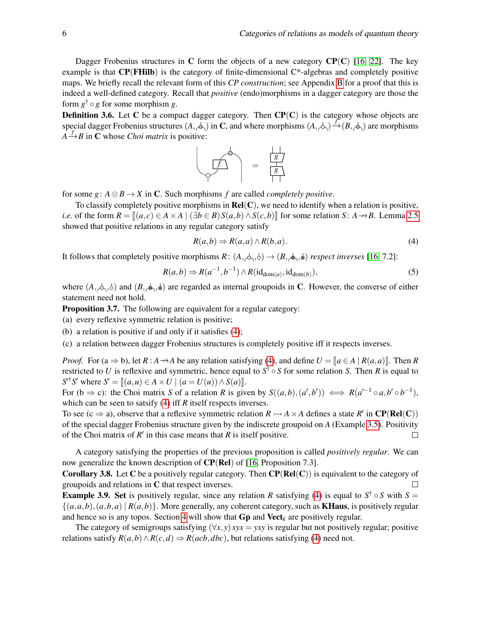Dagger Frobenius structures in C form the objects of a new category  $\mathbf{CP}(\mathbf{C})$  [\[16,](#page-12-3) [22\]](#page-12-4). The key example is that  $CP(FHilb)$  is the category of finite-dimensional  $C^*$ -algebras and completely positive maps. We briefly recall the relevant form of this *CP construction*; see Appendix [B](#page-14-0) for a proof that this is indeed a well-defined category. Recall that *positive* (endo)morphisms in a dagger category are those the form *g* † ◦ *g* for some morphism *g*.

**Definition 3.6.** Let C be a compact dagger category. Then  $\mathbf{CP}(C)$  is the category whose objects are special dagger Frobenius structures  $(A, \overline{\phi})$  in C, and where morphisms  $(A, \overline{\phi}) \stackrel{f^*}{\rightarrow} (B, \overline{\phi})$  are morphisms  $A \stackrel{f}{\rightarrow} B$  in **C** whose *Choi matrix* is positive:



for some *g*:  $A \otimes B \rightarrow X$  in C. Such morphisms *f* are called *completely positive*.

To classify completely positive morphisms in  $Rel(C)$ , we need to identify when a relation is positive, *i.e.* of the form  $R = \mathbb{I}(a, c) \in A \times A \mid (\exists b \in B) S(a, b) \wedge S(c, b)$  for some relation *S*:  $A \rightarrow B$ . Lemma [2.5](#page-3-0) showed that positive relations in any regular category satisfy

<span id="page-5-0"></span>
$$
R(a,b) \Rightarrow R(a,a) \land R(b,a). \tag{4}
$$

It follows that completely positive morphisms  $R: (A, \phi, \phi) \rightarrow (B, \phi, \phi)$  respect inverses [\[16,](#page-12-3) 7.2]:

$$
R(a,b) \Rightarrow R(a^{-1},b^{-1}) \wedge R(\mathrm{id}_{\mathrm{dom}(a)},\mathrm{id}_{\mathrm{dom}(b)}),\tag{5}
$$

where  $(A, \phi, \phi)$  and  $(B, \phi, \phi)$  are regarded as internal groupoids in C. However, the converse of either statement need not hold.

**Proposition 3.7.** The following are equivalent for a regular category:

- (a) every reflexive symmetric relation is positive;
- (b) a relation is positive if and only if it satisfies [\(4\)](#page-5-0);
- (c) a relation between dagger Frobenius structures is completely positive iff it respects inverses.

*Proof.* For  $(a \Rightarrow b)$ , let  $R : A \rightarrow A$  be any relation satisfying [\(4\)](#page-5-0), and define  $U = [a \in A \mid R(a, a)]$ . Then R restricted to *U* is reflexive and symmetric, hence equal to  $S^{\dagger} \circ S$  for some relation *S*. Then *R* is equal to  $S'^{\dagger}S'$  where  $S' = [(a, u) \in A \times U \mid (a = U(u)) \wedge S(a)]$ .

For  $(b \Rightarrow c)$ : the Choi matrix *S* of a relation *R* is given by  $S((a,b),(a',b')) \iff R(a'^{-1} \circ a,b' \circ b^{-1})$ , which can be seen to satsify [\(4\)](#page-5-0) iff *R* itself respects inverses.

To see (c  $\Rightarrow$  a), observe that a reflexive symmetric relation  $R \rightarrowtail A \times A$  defines a state  $R'$  in  $\mathbb{CP}(\mathbf{Rel}(\mathbf{C}))$ of the special dagger Frobenius structure given by the indiscrete groupoid on *A* (Example [3.5\)](#page-4-3). Positivity of the Choi matrix of  $R'$  in this case means that  $R$  is itself positive.  $\Box$ 

A category satisfying the properties of the previous proposition is called *positively regular*. We can now generalize the known description of  $\mathbb{CP}(\mathbb{R}e)$  of [\[16,](#page-12-3) Proposition 7.3].

<span id="page-5-1"></span>**Corollary 3.8.** Let C be a positively regular category. Then  $\mathbf{CP}(\mathbf{Rel}(C))$  is equivalent to the category of groupoids and relations in C that respect inverses.  $\Box$ 

**Example 3.9.** Set is positively regular, since any relation *R* satisfying [\(4\)](#page-5-0) is equal to  $S^{\dagger} \circ S$  with  $S =$  $\{(a,a,b),(a,b,a) \mid R(a,b)\}\.$  More generally, any coherent category, such as **KHaus**, is positively regular and hence so is any topos. Section [4](#page-6-0) will show that **Gp** and **Vect**<sub>k</sub> are positively regular.

The category of semigroups satisfying  $(\forall x, y)$  *xyx* = *yxy* is regular but not positively regular; positive relations satisfy  $R(a,b) \wedge R(c,d) \Rightarrow R(acb,dbc)$ , but relations satisfying [\(4\)](#page-5-0) need not.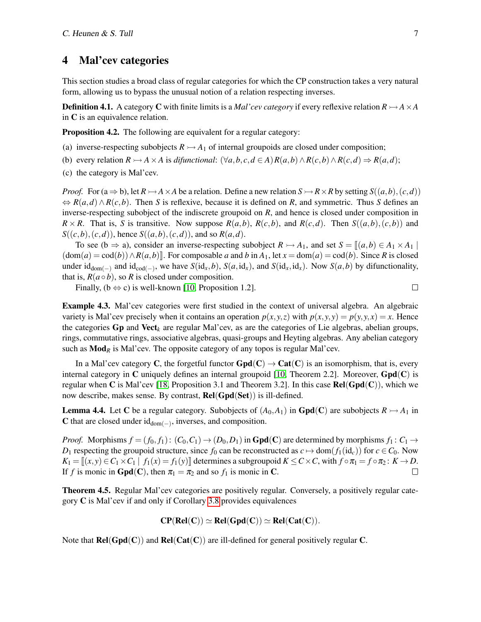#### <span id="page-6-0"></span>4 Mal'cev categories

This section studies a broad class of regular categories for which the CP construction takes a very natural form, allowing us to bypass the unusual notion of a relation respecting inverses.

**Definition 4.1.** A category **C** with finite limits is a *Mal'cev category* if every reflexive relation  $R \rightarrow AXA$ in C is an equivalence relation.

<span id="page-6-2"></span>**Proposition 4.2.** The following are equivalent for a regular category:

- (a) inverse-respecting subobjects  $R \rightarrow A_1$  of internal groupoids are closed under composition;
- (b) every relation  $R \rightarrowtail A \times A$  is difunctional:  $(\forall a, b, c, d \in A) R(a, b) \land R(c, b) \land R(c, d) \Rightarrow R(a, d);$
- (c) the category is Mal'cev.

*Proof.* For  $(a \Rightarrow b)$ , let  $R \rightarrow A \times A$  be a relation. Define a new relation  $S \rightarrow R \times R$  by setting  $S((a, b), (c, d))$ ⇔ *R*(*a*,*d*)∧*R*(*c*,*b*). Then *S* is reflexive, because it is defined on *R*, and symmetric. Thus *S* defines an inverse-respecting subobject of the indiscrete groupoid on *R*, and hence is closed under composition in  $R \times R$ . That is, *S* is transitive. Now suppose  $R(a,b)$ ,  $R(c,b)$ , and  $R(c,d)$ . Then  $S((a,b),(c,b))$  and  $S((c,b),(c,d))$ , hence  $S((a,b),(c,d))$ , and so  $R(a,d)$ .

To see (b  $\Rightarrow$  a), consider an inverse-respecting subobject  $R \rightarrow A_1$ , and set  $S = \mathbb{I}(a, b) \in A_1 \times A_1$  $(\text{dom}(a) = \text{cod}(b)) \land R(a, b)$ . For composable *a* and *b* in  $A_1$ , let  $x = \text{dom}(a) = \text{cod}(b)$ . Since *R* is closed under  $id_{dom(-)}$  and  $id_{cod(-)}$ , we have  $S(id_x, b)$ ,  $S(a, id_x)$ , and  $S(id_x, id_x)$ . Now  $S(a, b)$  by difunctionality, that is,  $R(a \circ b)$ , so R is closed under composition.

Finally,  $(b \Leftrightarrow c)$  is well-known [\[10,](#page-12-17) Proposition 1.2].

 $\Box$ 

Example 4.3. Mal'cev categories were first studied in the context of universal algebra. An algebraic variety is Mal'cev precisely when it contains an operation  $p(x, y, z)$  with  $p(x, y, y) = p(y, y, x) = x$ . Hence the categories  $G_p$  and  $Vect_k$  are regular Mal'cev, as are the categories of Lie algebras, abelian groups, rings, commutative rings, associative algebras, quasi-groups and Heyting algebras. Any abelian category such as  $\text{Mod}_R$  is Mal'cev. The opposite category of any topos is regular Mal'cev.

In a Mal'cev category C, the forgetful functor  $Gpd(C) \rightarrow Cat(C)$  is an isomorphism, that is, every internal category in C uniquely defines an internal groupoid [\[10,](#page-12-17) Theorem 2.2]. Moreover,  $Gpd(C)$  is regular when C is Mal'cev [\[18,](#page-12-12) Proposition 3.1 and Theorem 3.2]. In this case  $\text{Rel}(\text{Gpd}(C))$ , which we now describe, makes sense. By contrast,  $Rel(Gpd(Set))$  is ill-defined.

<span id="page-6-1"></span>**Lemma 4.4.** Let C be a regular category. Subobjects of  $(A_0, A_1)$  in **Gpd**(C) are subobjects  $R \rightarrowtail A_1$  in C that are closed under  $id_{dom(-)}$ , inverses, and composition.

*Proof.* Morphisms  $f = (f_0, f_1): (C_0, C_1) \rightarrow (D_0, D_1)$  in **Gpd**(**C**) are determined by morphisms  $f_1: C_1 \rightarrow C_1$ *D*<sub>1</sub> respecting the groupoid structure, since  $f_0$  can be reconstructed as  $c \mapsto \text{dom}(f_1(\text{id}_c))$  for  $c \in C_0$ . Now  $K_1 = \{(x, y) \in C_1 \times C_1 \mid f_1(x) = f_1(y)\}$  determines a subgroupoid  $K \leq C \times C$ , with  $f \circ \pi_1 = f \circ \pi_2 : K \to D$ . If *f* is monic in **Gpd**(**C**), then  $\pi_1 = \pi_2$  and so  $f_1$  is monic in **C**.

Theorem 4.5. Regular Mal'cev categories are positively regular. Conversely, a positively regular category C is Mal'cev if and only if Corollary [3.8](#page-5-1) provides equivalences

$$
CP(Rel(C)) \simeq Rel(Gpd(C)) \simeq Rel(Cat(C)).
$$

Note that  $\text{Rel}(\text{Gpd}(C))$  and  $\text{Rel}(\text{Cat}(C))$  are ill-defined for general positively regular C.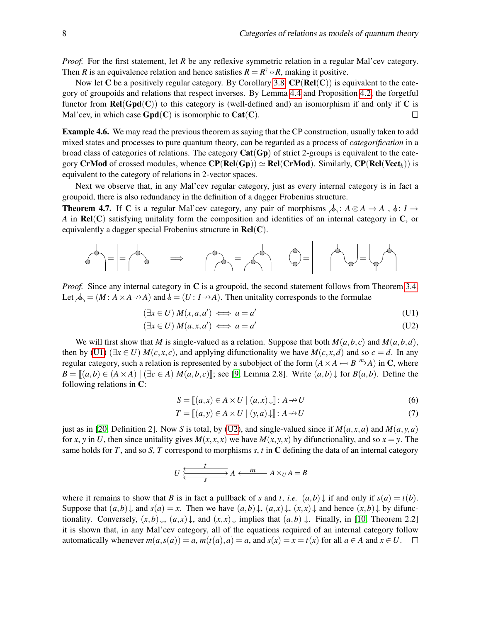*Proof.* For the first statement, let *R* be any reflexive symmetric relation in a regular Mal'cev category. Then *R* is an equivalence relation and hence satisfies  $R = R^{\dagger} \circ R$ , making it positive.

Now let C be a positively regular category. By Corollary [3.8,](#page-5-1)  $CP(Rel(C))$  is equivalent to the category of groupoids and relations that respect inverses. By Lemma [4.4](#page-6-1) and Proposition [4.2,](#page-6-2) the forgetful functor from  $\text{Rel}(\text{Gpd}(C))$  to this category is (well-defined and) an isomorphism if and only if C is Mal'cev, in which case  $Gpd(C)$  is isomorphic to  $Cat(C)$ .  $\Box$ 

Example 4.6. We may read the previous theorem as saying that the CP construction, usually taken to add mixed states and processes to pure quantum theory, can be regarded as a process of *categorification* in a broad class of categories of relations. The category  $Cat(Gp)$  of strict 2-groups is equivalent to the category CrMod of crossed modules, whence  $\mathbf{CP}(\mathbf{Rel}(Gp)) \simeq \mathbf{Rel}(\mathbf{CrMod})$ . Similarly,  $\mathbf{CP}(\mathbf{Rel}(\mathbf{Vect}_k))$  is equivalent to the category of relations in 2-vector spaces.

Next we observe that, in any Mal'cev regular category, just as every internal category is in fact a groupoid, there is also redundancy in the definition of a dagger Frobenius structure.

<span id="page-7-0"></span>**Theorem 4.7.** If C is a regular Mal'cev category, any pair of morphisms  $\phi: A \otimes A \rightarrow A$ ,  $\phi: I \rightarrow$ *A* in **Rel(C)** satisfying unitality form the composition and identities of an internal category in **C**, or equivalently a dagger special Frobenius structure in  $Rel(C)$ .

$$
\mathcal{A}_{\text{max}} = \begin{vmatrix} 1 & -\mathcal{A}_{\text{max}} & -\mathcal{A}_{\text{max}} & -\mathcal{A}_{\text{max}} & -\mathcal{A}_{\text{max}} & -\mathcal{A}_{\text{max}} & -\mathcal{A}_{\text{max}} & -\mathcal{A}_{\text{max}} & -\mathcal{A}_{\text{max}} & -\mathcal{A}_{\text{max}} & -\mathcal{A}_{\text{max}} & -\mathcal{A}_{\text{max}} & -\mathcal{A}_{\text{max}} & -\mathcal{A}_{\text{max}} & -\mathcal{A}_{\text{max}} & -\mathcal{A}_{\text{max}} & -\mathcal{A}_{\text{max}} & -\mathcal{A}_{\text{max}} & -\mathcal{A}_{\text{max}} & -\mathcal{A}_{\text{max}} & -\mathcal{A}_{\text{max}} & -\mathcal{A}_{\text{max}} & -\mathcal{A}_{\text{max}} & -\mathcal{A}_{\text{max}} & -\mathcal{A}_{\text{max}} & -\mathcal{A}_{\text{max}} & -\mathcal{A}_{\text{max}} & -\mathcal{A}_{\text{max}} & -\mathcal{A}_{\text{max}} & -\mathcal{A}_{\text{max}} & -\mathcal{A}_{\text{max}} & -\mathcal{A}_{\text{max}} & -\mathcal{A}_{\text{max}} & -\mathcal{A}_{\text{max}} & -\mathcal{A}_{\text{max}} & -\mathcal{A}_{\text{max}} & -\mathcal{A}_{\text{max}} & -\mathcal{A}_{\text{max}} & -\mathcal{A}_{\text{max}} & -\mathcal{A}_{\text{max}} & -\mathcal{A}_{\text{max}} & -\mathcal{A}_{\text{max}} & -\mathcal{A}_{\text{max}} & -\mathcal{A}_{\text{max}} & -\mathcal{A}_{\text{max}} & -\mathcal{A}_{\text{max}} & -\mathcal{A}_{\text{max}} & -\mathcal{A}_{\text{max}} & -\mathcal{A}_{\text{max}} & -\mathcal{A}_{\text{max}} & -\
$$

*Proof.* Since any internal category in C is a groupoid, the second statement follows from Theorem [3.4.](#page-4-2) Let  $\phi = (M : A \times A \rightarrow A)$  and  $\phi = (U : I \rightarrow A)$ . Then unitality corresponds to the formulae

$$
(\exists x \in U) M(x, a, a') \iff a = a'
$$
 (U1)

$$
(\exists x \in U) M(a, x, a') \iff a = a'
$$
 (U2)

We will first show that *M* is single-valued as a relation. Suppose that both  $M(a,b,c)$  and  $M(a,b,d)$ , then by [\(U1\)](#page-7-0) ( $\exists x \in U$ )  $M(c, x, c)$ , and applying difunctionality we have  $M(c, x, d)$  and so  $c = d$ . In any regular category, such a relation is represented by a subobject of the form  $(A \times A \leftarrow B \stackrel{m}{\longrightarrow} A)$  in C, where *B* =  $[(a,b) \in (A \times A) | (\exists c \in A) M(a,b,c)]$ ; see [\[9,](#page-11-4) Lemma 2.8]. Write  $(a,b) \downarrow$  for *B*(*a*,*b*). Define the following relations in C:

<span id="page-7-2"></span><span id="page-7-1"></span>
$$
S = [[a, x) \in A \times U \mid (a, x) \downarrow]] : A \to U
$$
 (6)

$$
T = [[a, y) \in A \times U \mid (y, a) \downarrow]] : A \to U \tag{7}
$$

just as in [\[20,](#page-12-5) Definition 2]. Now *S* is total, by [\(U2\)](#page-7-0), and single-valued since if  $M(a, x, a)$  and  $M(a, y, a)$ for *x*, *y* in *U*, then since unitality gives  $M(x, x, x)$  we have  $M(x, y, x)$  by difunctionality, and so  $x = y$ . The same holds for *T*, and so *S*, *T* correspond to morphisms *s*, *t* in C defining the data of an internal category

$$
U \xleftarrow{\underbrace{t \qquad \qquad } } A \xleftarrow{m} A \times_{U} A = B
$$

where it remains to show that *B* is in fact a pullback of *s* and *t*, *i.e.*  $(a,b) \downarrow$  if and only if  $s(a) = t(b)$ . Suppose that  $(a,b) \downarrow$  and  $s(a) = x$ . Then we have  $(a,b) \downarrow$ ,  $(a,x) \downarrow$ ,  $(x,x) \downarrow$  and hence  $(x,b) \downarrow$  by difunctionality. Conversely,  $(x, b) \downarrow$ ,  $(a, x) \downarrow$ , and  $(x, x) \downarrow$  implies that  $(a, b) \downarrow$ . Finally, in [\[10,](#page-12-17) Theorem 2.2] it is shown that, in any Mal'cev category, all of the equations required of an internal category follow automatically whenever  $m(a,s(a)) = a$ ,  $m(t(a), a) = a$ , and  $s(x) = x = t(x)$  for all  $a \in A$  and  $x \in U$ .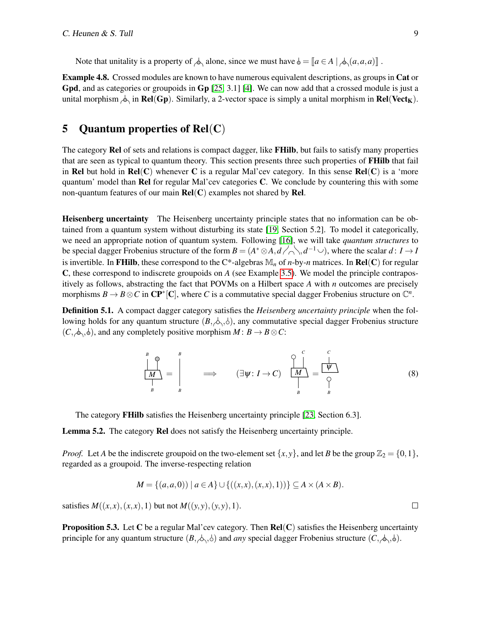Note that unitality is a property of  $\Diamond$  alone, since we must have  $\Diamond = [a \in A \mid \Diamond (a, a, a)]$ .

Example 4.8. Crossed modules are known to have numerous equivalent descriptions, as groups in Cat or Gpd, and as categories or groupoids in Gp [\[25,](#page-12-16) 3.1] [\[4\]](#page-11-6). We can now add that a crossed module is just a unital morphism  $\phi_1$  in Rel(Gp). Similarly, a 2-vector space is simply a unital morphism in Rel(Vect<sub>K</sub>).

# <span id="page-8-0"></span>5 Quantum properties of  $Rel(C)$

The category Rel of sets and relations is compact dagger, like FHilb, but fails to satisfy many properties that are seen as typical to quantum theory. This section presents three such properties of FHilb that fail in Rel but hold in Rel(C) whenever C is a regular Mal'cev category. In this sense  $Rel(C)$  is a 'more quantum' model than  $\text{Rel}$  for regular Mal'cev categories  $\text{C}$ . We conclude by countering this with some non-quantum features of our main  $Rel(C)$  examples not shared by Rel.

Heisenberg uncertainty The Heisenberg uncertainty principle states that no information can be obtained from a quantum system without disturbing its state [\[19,](#page-12-18) Section 5.2]. To model it categorically, we need an appropriate notion of quantum system. Following [\[16\]](#page-12-3), we will take *quantum structures* to be special dagger Frobenius structure of the form  $B = (A^* \otimes A, d \nearrow \land, d^{-1} \cup)$ , where the scalar  $d: I \to I$ is invertible. In FHilb, these correspond to the C\*-algebras  $\mathbb{M}_n$  of *n*-by-*n* matrices. In Rel(C) for regular C, these correspond to indiscrete groupoids on *A* (see Example [3.5\)](#page-4-3). We model the principle contrapositively as follows, abstracting the fact that POVMs on a Hilbert space *A* with *n* outcomes are precisely morphisms  $B \to B \otimes C$  in  $\mathbb{CP}^*[\mathbb{C}]$ , where *C* is a commutative special dagger Frobenius structure on  $\mathbb{C}^n$ .

Definition 5.1. A compact dagger category satisfies the *Heisenberg uncertainty principle* when the following holds for any quantum structure  $(B, \triangle, \triangle)$ , any commutative special dagger Frobenius structure  $(C, \phi, \phi)$ , and any completely positive morphism  $M : B \to B \otimes C$ :

<span id="page-8-1"></span>
$$
\frac{\left|\bigcup_{B}^{B}\right|}{\left|\bigcup_{B}^{B}\right|} = \left|\bigoplus_{B}^{B} \left(\exists \psi : I \rightarrow C\right) \left|\bigcup_{B}^{C} \left|\bigcup_{B}^{C}\right| \right| = \frac{\left|\bigcup_{B}^{C}\right|}{\left|\bigcup_{B}^{C}\right|} \tag{8}
$$

The category FHilb satisfies the Heisenberg uncertainty principle [\[23,](#page-12-19) Section 6.3].

Lemma 5.2. The category Rel does not satisfy the Heisenberg uncertainty principle.

*Proof.* Let *A* be the indiscrete groupoid on the two-element set  $\{x, y\}$ , and let *B* be the group  $\mathbb{Z}_2 = \{0, 1\}$ , regarded as a groupoid. The inverse-respecting relation

$$
M = \{(a, a, 0)) \mid a \in A\} \cup \{((x, x), (x, x), 1))\} \subseteq A \times (A \times B).
$$

satisfies  $M((x, x), (x, x), 1)$  but not  $M((y, y), (y, y), 1)$ .

**Proposition 5.3.** Let C be a regular Mal'cev category. Then  $Rel(C)$  satisfies the Heisenberg uncertainty principle for any quantum structure  $(B, \triangle, \triangle)$  and *any* special dagger Frobenius structure  $(C, \triangle, \triangle)$ .

 $\Box$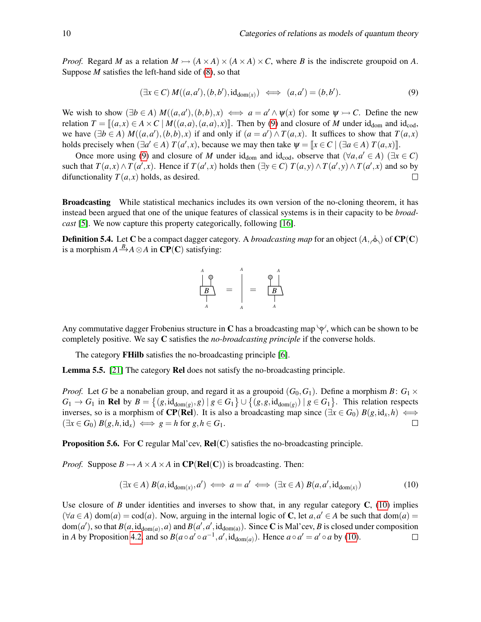*Proof.* Regard *M* as a relation  $M \rightarrow (A \times A) \times (A \times A) \times C$ , where *B* is the indiscrete groupoid on *A*. Suppose *M* satisfies the left-hand side of [\(8\)](#page-8-1), so that

<span id="page-9-0"></span>
$$
(\exists x \in C) M((a, a'), (b, b'), \mathrm{id}_{\mathrm{dom}(x)}) \iff (a, a') = (b, b'). \tag{9}
$$

We wish to show  $(\exists b \in A) M((a, a'), (b, b), x) \iff a = a' \land \psi(x)$  for some  $\psi \rightarrow C$ . Define the new relation  $T = \mathbb{I}(a, x) \in A \times C \mid M((a, a), (a, a), x) \mathbb{I}$ . Then by [\(9\)](#page-9-0) and closure of *M* under id<sub>dom</sub> and id<sub>cod</sub>, we have  $(\exists b \in A) M((a, a'), (b, b), x)$  if and only if  $(a = a') \wedge T(a, x)$ . It suffices to show that  $T(a, x)$ holds precisely when  $(\exists a' \in A) T(a',x)$ , because we may then take  $\psi = [\![x \in C \mid (\exists a \in A) T(a,x)]\!]$ .<br>Once more using (0) and algence of *M* under ideased ideased that  $(\forall a, a' \in A)$ .  $(\exists a)$ 

Once more using [\(9\)](#page-9-0) and closure of *M* under id<sub>dom</sub> and id<sub>cod</sub>, observe that  $(\forall a, a' \in A)$  ( $\exists x \in C$ ) such that  $T(a,x) \wedge T(a',x)$ . Hence if  $T(a',x)$  holds then  $(\exists y \in C)$   $T(a,y) \wedge T(a',y) \wedge T(a',x)$  and so by difunctionality  $T(a, x)$  holds, as desired.  $\Box$ 

Broadcasting While statistical mechanics includes its own version of the no-cloning theorem, it has instead been argued that one of the unique features of classical systems is in their capacity to be *broadcast* [\[5\]](#page-11-7). We now capture this property categorically, following [\[16\]](#page-12-3).

**Definition 5.4.** Let C be a compact dagger category. A *broadcasting map* for an object  $(A, \phi)$  of CP(C) is a morphism  $A \xrightarrow{B} A \otimes A$  in  $\mathbf{CP}(\mathbf{C})$  satisfying:

$$
\begin{array}{c}\nA \\
\downarrow \\
B \\
\downarrow \\
A\n\end{array} = \begin{array}{c}\nA \\
\downarrow \\
\downarrow \\
A\n\end{array} = \begin{array}{c}\nA \\
\downarrow \\
B \\
\downarrow \\
A\n\end{array}
$$

Any commutative dagger Frobenius structure in C has a broadcasting map  $\varphi$ , which can be shown to be completely positive. We say C satisfies the *no-broadcasting principle* if the converse holds.

The category FHilb satisfies the no-broadcasting principle [\[6\]](#page-11-8).

Lemma 5.5. [\[21\]](#page-12-1) The category Rel does not satisfy the no-broadcasting principle.

*Proof.* Let *G* be a nonabelian group, and regard it as a groupoid  $(G_0, G_1)$ . Define a morphism *B*:  $G_1 \times G_2$  $G_1 \rightarrow G_1$  in Rel by  $B = \{(g, id_{dom(g)}, g) \mid g \in G_1\} \cup \{(g, g, id_{dom(g)}) \mid g \in G_1\}$ . This relation respects inverses, so is a morphism of **CP(Rel)**. It is also a broadcasting map since  $(\exists x \in G_0) B(g, id_x, h) \iff$  $(\exists x \in G_0) B(g, h, id_x) \iff g = h \text{ for } g, h \in G_1.$  $\Box$ 

**Proposition 5.6.** For C regular Mal'cev,  $Rel(C)$  satisfies the no-broadcasting principle.

*Proof.* Suppose  $B \rightarrowtail A \times A \times A$  in  $\mathbb{CP}(\mathbb{R}el(\mathbb{C}))$  is broadcasting. Then:

<span id="page-9-1"></span>
$$
(\exists x \in A) B(a, id_{dom(x)}, a') \iff a = a' \iff (\exists x \in A) B(a, a', id_{dom(x)})
$$
\n(10)

Use closure of *B* under identities and inverses to show that, in any regular category  $C$ , [\(10\)](#page-9-1) implies  $(\forall a \in A)$  dom $(a) = \text{cod}(a)$ . Now, arguing in the internal logic of C, let  $a, a' \in A$  be such that dom $(a) =$  $dom(a')$ , so that  $B(a, id_{dom(a)}, a)$  and  $B(a', a', id_{dom(a)})$ . Since C is Mal'cev, *B* is closed under composition in *A* by Proposition [4.2,](#page-6-2) and so  $B(a \circ a' \circ a^{-1}, a', \mathrm{id}_{\mathrm{dom}(a)})$ . Hence  $a \circ a' = a' \circ a$  by [\(10\)](#page-9-1).  $\Box$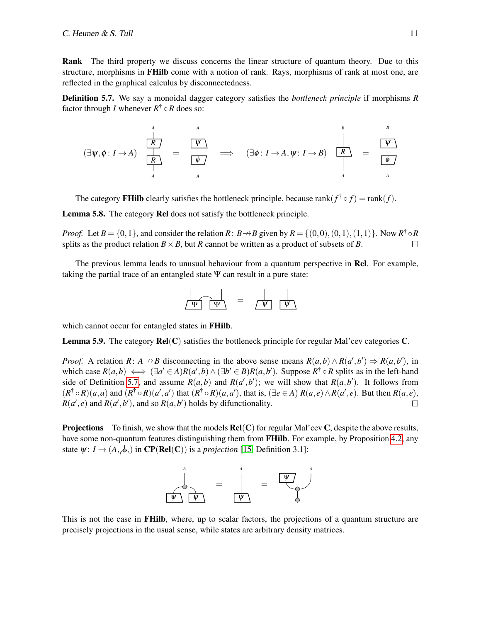Rank The third property we discuss concerns the linear structure of quantum theory. Due to this structure, morphisms in FHilb come with a notion of rank. Rays, morphisms of rank at most one, are reflected in the graphical calculus by disconnectedness.

<span id="page-10-0"></span>Definition 5.7. We say a monoidal dagger category satisfies the *bottleneck principle* if morphisms *R* factor through *I* whenever *R* † ◦*R* does so:

$$
(\exists \psi, \phi: I \rightarrow A) \begin{array}{ccc} \uparrow & & \uparrow & & \uparrow & & \uparrow & & \uparrow & & \uparrow & & \uparrow & & \uparrow & & \uparrow & & \uparrow & & \uparrow & & \uparrow & & \uparrow & & \uparrow & & \uparrow & & \uparrow & & \uparrow & & \uparrow & & \uparrow & & \uparrow & & \uparrow & & \uparrow & & \uparrow & & \uparrow & & \uparrow & & \uparrow & & \uparrow & & \uparrow & & \uparrow & & \uparrow & & \uparrow & & \uparrow & & \uparrow & & \uparrow & & \uparrow & & \uparrow & & \uparrow & & \uparrow & & \uparrow & & \uparrow & & \uparrow & & \uparrow & & \uparrow & & \uparrow & & \uparrow & & \uparrow & & \uparrow & & \uparrow & & \uparrow & & \uparrow & & \uparrow & & \uparrow & & \uparrow & & \uparrow & & \uparrow & & \uparrow & & \uparrow & & \uparrow & & \uparrow & & \uparrow & & \uparrow & & \uparrow & & \uparrow & & \uparrow & & \uparrow & & \uparrow & & \uparrow & & \uparrow & & \uparrow & & \uparrow & & \uparrow & & \uparrow & & \uparrow & & \uparrow & & \uparrow & & \uparrow & & \uparrow & & \uparrow & & \uparrow & & \uparrow & & \uparrow & & \uparrow & & \
$$

The category **FHilb** clearly satisfies the bottleneck principle, because rank $(f^{\dagger} \circ f) = \text{rank}(f)$ .

Lemma 5.8. The category Rel does not satisfy the bottleneck principle.

*Proof.* Let  $B = \{0, 1\}$ , and consider the relation  $R: B \to B$  given by  $R = \{(0, 0), (0, 1), (1, 1)\}$ . Now  $R^{\dagger} \circ R$ splits as the product relation  $B \times B$ , but *R* cannot be written as a product of subsets of *B*.  $\Box$ 

The previous lemma leads to unusual behaviour from a quantum perspective in **Rel**. For example, taking the partial trace of an entangled state  $\Psi$  can result in a pure state:



which cannot occur for entangled states in **FHilb**.

**Lemma 5.9.** The category  $\text{Rel}(C)$  satisfies the bottleneck principle for regular Mal'cev categories  $C$ .

*Proof.* A relation *R*: *A*  $\rightarrow$  *B* disconnecting in the above sense means  $R(a,b) \wedge R(a',b') \Rightarrow R(a,b')$ , in which case  $R(a,b) \iff (\exists a' \in A)R(a',b) \land (\exists b' \in B)R(a,b')$ . Suppose  $R^{\dagger} \circ R$  splits as in the left-hand side of Definition [5.7,](#page-10-0) and assume  $R(a,b)$  and  $R(a',b')$ ; we will show that  $R(a,b')$ . It follows from  $(R^{\dagger} \circ R)(a, a)$  and  $(R^{\dagger} \circ R)(a', a')$  that  $(R^{\dagger} \circ R)(a, a')$ , that is,  $(\exists e \in A) R(a, e) \land R(a', e)$ . But then  $R(a, e)$ ,  $R(a', e)$  and  $R(a', b')$ , and so  $R(a, b')$  holds by difunctionality.  $\Box$ 

**Projections** To finish, we show that the models  $\text{Rel}(C)$  for regular Mal'cev C, despite the above results, have some non-quantum features distinguishing them from **FHilb**. For example, by Proposition [4.2,](#page-6-2) any state  $\psi: I \to (A, \phi)$  in  $\mathbb{CP}(\mathbf{Rel}(C))$  is a *projection* [\[15,](#page-12-0) Definition 3.1]:



This is not the case in FHilb, where, up to scalar factors, the projections of a quantum structure are precisely projections in the usual sense, while states are arbitrary density matrices.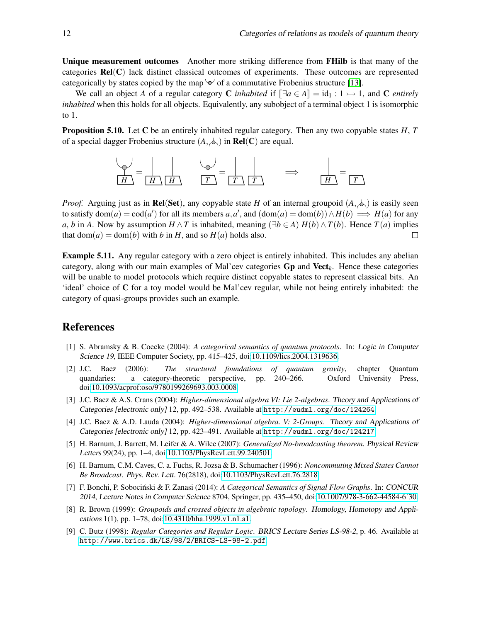Unique measurement outcomes Another more striking difference from FHilb is that many of the categories  $\text{Rel}(C)$  lack distinct classical outcomes of experiments. These outcomes are represented categorically by states copied by the map  $\varphi$  of a commutative Frobenius structure [\[13\]](#page-12-20).

We call an object *A* of a regular category C *inhabited* if  $\left[\exists a \in A\right] = id_1 : 1 \rightarrow 1$ , and C *entirely inhabited* when this holds for all objects. Equivalently, any subobject of a terminal object 1 is isomorphic to 1.

Proposition 5.10. Let C be an entirely inhabited regular category. Then any two copyable states *H*, *T* of a special dagger Frobenius structure  $(A, \phi)$  in **Rel**(**C**) are equal.

*H* = *H H T* = *T T* =⇒ *H* = *T*

*Proof.* Arguing just as in **Rel(Set)**, any copyable state *H* of an internal groupoid  $(A, \phi)$  is easily seen to satisfy  $\text{dom}(a) = \text{cod}(a')$  for all its members  $a, a'$ , and  $(\text{dom}(a) = \text{dom}(b)) \wedge H(b) \implies H(a)$  for any *a*, *b* in *A*. Now by assumption *H* ∧*T* is inhabited, meaning (∃*b* ∈ *A*) *H*(*b*) ∧ *T*(*b*). Hence *T*(*a*) implies that dom(*a*) = dom(*b*) with *b* in *H*, and so  $H(a)$  holds also.  $\Box$ 

Example 5.11. Any regular category with a zero object is entirely inhabited. This includes any abelian category, along with our main examples of Mal'cev categories Gp and Vect*k*. Hence these categories will be unable to model protocols which require distinct copyable states to represent classical bits. An 'ideal' choice of C for a toy model would be Mal'cev regular, while not being entirely inhabited: the category of quasi-groups provides such an example.

#### References

- <span id="page-11-0"></span>[1] S. Abramsky & B. Coecke (2004): *A categorical semantics of quantum protocols*. In: Logic in Computer Science 19, IEEE Computer Society, pp. 415–425, doi[:10.1109/lics.2004.1319636.](http://dx.doi.org/10.1109/lics.2004.1319636)
- <span id="page-11-1"></span>[2] J.C. Baez (2006): *The structural foundations of quantum gravity*, chapter Quantum quandaries: a category-theoretic perspective, pp. 240–266. Oxford University Press, doi[:10.1093/acprof:oso/9780199269693.003.0008.](http://dx.doi.org/10.1093/acprof:oso/9780199269693.003.0008)
- <span id="page-11-5"></span>[3] J.C. Baez & A.S. Crans (2004): *Higher-dimensional algebra VI: Lie 2-algebras*. Theory and Applications of Categories [electronic only] 12, pp. 492–538. Available at <http://eudml.org/doc/124264>.
- <span id="page-11-6"></span>[4] J.C. Baez & A.D. Lauda (2004): *Higher-dimensional algebra. V: 2-Groups.* Theory and Applications of Categories [electronic only] 12, pp. 423–491. Available at <http://eudml.org/doc/124217>.
- <span id="page-11-7"></span>[5] H. Barnum, J. Barrett, M. Leifer & A. Wilce (2007): *Generalized No-broadcasting theorem*. Physical Review Letters 99(24), pp. 1–4, doi[:10.1103/PhysRevLett.99.240501.](http://dx.doi.org/10.1103/PhysRevLett.99.240501)
- <span id="page-11-8"></span>[6] H. Barnum, C.M. Caves, C. a. Fuchs, R. Jozsa & B. Schumacher (1996): *Noncommuting Mixed States Cannot Be Broadcast*. Phys. Rev. Lett. 76(2818), doi[:10.1103/PhysRevLett.76.2818.](http://dx.doi.org/10.1103/PhysRevLett.76.2818)
- <span id="page-11-2"></span>[7] F. Bonchi, P. Sobociński & F. Zanasi (2014): A Categorical Semantics of Signal Flow Graphs. In: CONCUR 2014, Lecture Notes in Computer Science 8704, Springer, pp. 435–450, doi[:10.1007/978-3-662-44584-6˙30.](http://dx.doi.org/10.1007/978-3-662-44584-6_30)
- <span id="page-11-3"></span>[8] R. Brown (1999): *Groupoids and crossed objects in algebraic topology*. Homology, Homotopy and Applications 1(1), pp. 1–78, doi[:10.4310/hha.1999.v1.n1.a1.](http://dx.doi.org/10.4310/hha.1999.v1.n1.a1)
- <span id="page-11-4"></span>[9] C. Butz (1998): *Regular Categories and Regular Logic*. BRICS Lecture Series LS-98-2, p. 46. Available at <http://www.brics.dk/LS/98/2/BRICS-LS-98-2.pdf>.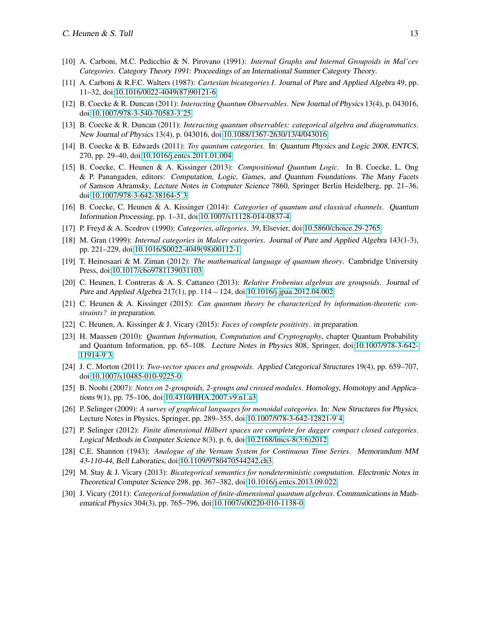- <span id="page-12-17"></span>[10] A. Carboni, M.C. Pedicchio & N. Pirovano (1991): *Internal Graphs and Internal Groupoids in Mal'cev Categories*. Category Theory 1991: Proceedings of an International Summer Category Theory.
- <span id="page-12-8"></span>[11] A. Carboni & R.F.C. Walters (1987): *Cartesian bicategories I*. Journal of Pure and Applied Algebra 49, pp. 11–32, doi[:10.1016/0022-4049\(87\)90121-6.](http://dx.doi.org/10.1016/0022-4049(87)90121-6)
- <span id="page-12-13"></span>[12] B. Coecke & R. Duncan (2011): *Interacting Quantum Observables*. New Journal of Physics 13(4), p. 043016, doi[:10.1007/978-3-540-70583-3˙25.](http://dx.doi.org/10.1007/978-3-540-70583-3_25)
- <span id="page-12-20"></span>[13] B. Coecke & R. Duncan (2011): *Interacting quantum observables: categorical algebra and diagrammatics*. New Journal of Physics 13(4), p. 043016, doi[:10.1088/1367-2630/13/4/043016.](http://dx.doi.org/10.1088/1367-2630/13/4/043016)
- <span id="page-12-2"></span>[14] B. Coecke & B. Edwards (2011): *Toy quantum categories*. In: Quantum Physics and Logic 2008, ENTCS, 270, pp. 29–40, doi[:10.1016/j.entcs.2011.01.004.](http://dx.doi.org/10.1016/j.entcs.2011.01.004)
- <span id="page-12-0"></span>[15] B. Coecke, C. Heunen & A. Kissinger (2013): *Compositional Quantum Logic*. In B. Coecke, L. Ong & P. Panangaden, editors: Computation, Logic, Games, and Quantum Foundations. The Many Facets of Samson Abramsky, Lecture Notes in Computer Science 7860, Springer Berlin Heidelberg, pp. 21–36, doi[:10.1007/978-3-642-38164-5˙3.](http://dx.doi.org/10.1007/978-3-642-38164-5_3)
- <span id="page-12-3"></span>[16] B. Coecke, C. Heunen & A. Kissinger (2014): *Categories of quantum and classical channels*. Quantum Information Processing, pp. 1–31, doi[:10.1007/s11128-014-0837-4.](http://dx.doi.org/10.1007/s11128-014-0837-4)
- <span id="page-12-14"></span>[17] P. Freyd & A. Scedrov (1990): *Categories, allegories*. 39, Elsevier, doi[:10.5860/choice.29-2765.](http://dx.doi.org/10.5860/choice.29-2765)
- <span id="page-12-12"></span>[18] M. Gran (1999): *Internal categories in Malcev categories*. Journal of Pure and Applied Algebra 143(1-3), pp. 221–229, doi[:10.1016/S0022-4049\(98\)00112-1.](http://dx.doi.org/10.1016/S0022-4049(98)00112-1)
- <span id="page-12-18"></span>[19] T. Heinosaari & M. Ziman (2012): *The mathematical language of quantum theory*. Cambridge University Press, doi[:10.1017/cbo9781139031103.](http://dx.doi.org/10.1017/cbo9781139031103)
- <span id="page-12-5"></span>[20] C. Heunen, I. Contreras & A. S. Cattaneo (2013): *Relative Frobenius algebras are groupoids*. Journal of Pure and Applied Algebra 217(1), pp. 114 – 124, doi[:10.1016/j.jpaa.2012.04.002.](http://dx.doi.org/10.1016/j.jpaa.2012.04.002)
- <span id="page-12-1"></span>[21] C. Heunen & A. Kissinger (2015): *Can quantum theory be characterized by information-theoretic constraints?* in preparation.
- <span id="page-12-4"></span>[22] C. Heunen, A. Kissinger & J. Vicary (2015): *Faces of complete positivity*. in preparation.
- <span id="page-12-19"></span>[23] H. Maassen (2010): *Quantum Information, Computation and Cryptography*, chapter Quantum Probability and Quantum Information, pp. 65–108. Lecture Notes in Physics 808, Springer, doi[:10.1007/978-3-642-](http://dx.doi.org/10.1007/978-3-642-11914-9_3) [11914-9˙3.](http://dx.doi.org/10.1007/978-3-642-11914-9_3)
- <span id="page-12-11"></span>[24] J. C. Morton (2011): *Two-vector spaces and groupoids*. Applied Categorical Structures 19(4), pp. 659–707, doi[:10.1007/s10485-010-9225-0.](http://dx.doi.org/10.1007/s10485-010-9225-0)
- <span id="page-12-16"></span>[25] B. Noohi (2007): *Notes on 2-groupoids, 2-groups and crossed modules*. Homology, Homotopy and Applications 9(1), pp. 75–106, doi[:10.4310/HHA.2007.v9.n1.a3.](http://dx.doi.org/10.4310/HHA.2007.v9.n1.a3)
- <span id="page-12-6"></span>[26] P. Selinger (2009): *A survey of graphical languages for monoidal categories*. In: New Structures for Physics, Lecture Notes in Physics, Springer, pp. 289–355, doi[:10.1007/978-3-642-12821-9˙4.](http://dx.doi.org/10.1007/978-3-642-12821-9_4)
- <span id="page-12-10"></span>[27] P. Selinger (2012): *Finite dimensional Hilbert spaces are complete for dagger compact closed categories*. Logical Methods in Computer Science 8(3), p. 6, doi[:10.2168/lmcs-8\(3:6\)2012.](http://dx.doi.org/10.2168/lmcs-8(3:6)2012)
- <span id="page-12-9"></span>[28] C.E. Shannon (1943): *Analogue of the Vernam System for Continuous Time Series*. Memorandum MM 43-110-44, Bell Laboraties, doi[:10.1109/9780470544242.ch3.](http://dx.doi.org/10.1109/9780470544242.ch3)
- <span id="page-12-7"></span>[29] M. Stay & J. Vicary (2013): *Bicategorical semantics for nondeterministic computation*. Electronic Notes in Theoretical Computer Science 298, pp. 367–382, doi[:10.1016/j.entcs.2013.09.022.](http://dx.doi.org/10.1016/j.entcs.2013.09.022)
- <span id="page-12-15"></span>[30] J. Vicary (2011): *Categorical formulation of finite-dimensional quantum algebras*. Communications in Mathematical Physics 304(3), pp. 765–796, doi[:10.1007/s00220-010-1138-0.](http://dx.doi.org/10.1007/s00220-010-1138-0)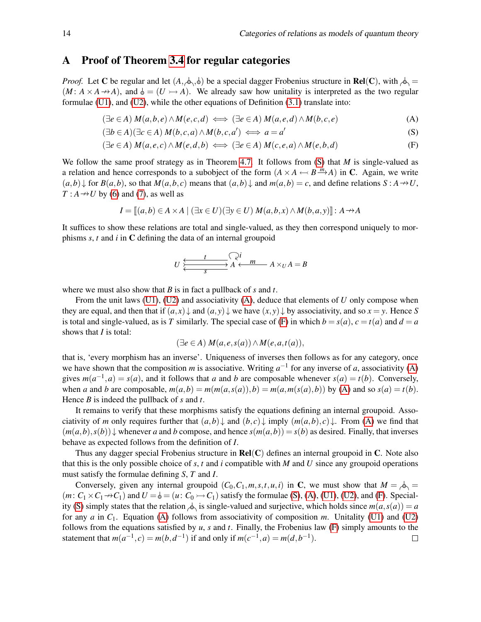## <span id="page-13-0"></span>A Proof of Theorem [3.4](#page-4-2) for regular categories

*Proof.* Let C be regular and let  $(A, \phi, \phi)$  be a special dagger Frobenius structure in **Rel**(C), with  $\phi$  =  $(M: A \times A \rightarrow A)$ , and  $\phi = (U \rightarrow A)$ . We already saw how unitality is interpreted as the two regular formulae  $(U1)$ , and  $(U2)$ , while the other equations of Definition  $(3.1)$  translate into:

$$
(\exists e \in A) M(a,b,e) \land M(e,c,d) \iff (\exists e \in A) M(a,e,d) \land M(b,c,e)
$$
 (A)

$$
(\exists b \in A)(\exists c \in A) M(b, c, a) \land M(b, c, a') \iff a = a'
$$
 (S)

$$
(\exists e \in A) M(a, e, c) \land M(e, d, b) \iff (\exists e \in A) M(c, e, a) \land M(e, b, d)
$$
 (F)

We follow the same proof strategy as in Theorem [4.7.](#page-7-0) It follows from [\(S\)](#page-13-0) that *M* is single-valued as a relation and hence corresponds to a subobject of the form  $(A \times A \leftarrow B \stackrel{m}{\longrightarrow} A)$  in C. Again, we write  $(a,b)$  for  $B(a,b)$ , so that  $M(a,b,c)$  means that  $(a,b)$  and  $m(a,b) = c$ , and define relations  $S: A \rightarrow U$ ,  $T: A \rightarrow U$  by [\(6\)](#page-7-1) and [\(7\)](#page-7-2), as well as

$$
I = [[a,b) \in A \times A \mid (\exists x \in U)(\exists y \in U) M(a,b,x) \land M(b,a,y)]] : A \rightarrow A
$$

It suffices to show these relations are total and single-valued, as they then correspond uniquely to morphisms *s*, *t* and *i* in C defining the data of an internal groupoid

$$
U \xleftarrow{\text{t}} A \xleftarrow{\text{Q}i} A \times_U A = B
$$

where we must also show that *B* is in fact a pullback of *s* and *t*.

From the unit laws [\(U1\)](#page-7-0), [\(U2\)](#page-7-0) and associativity [\(A\)](#page-13-0), deduce that elements of *U* only compose when they are equal, and then that if  $(a, x) \downarrow$  and  $(a, y) \downarrow$  we have  $(x, y) \downarrow$  by associativity, and so  $x = y$ . Hence *S* is total and single-valued, as is *T* similarly. The special case of [\(F\)](#page-13-0) in which  $b = s(a)$ ,  $c = t(a)$  and  $d = a$ shows that *I* is total:

$$
(\exists e \in A) M(a, e, s(a)) \land M(e, a, t(a)),
$$

that is, 'every morphism has an inverse'. Uniqueness of inverses then follows as for any category, once we have shown that the composition *m* is associative. Writing  $a^{-1}$  for any inverse of *a*, associativity [\(A\)](#page-13-0) gives  $m(a^{-1}, a) = s(a)$ , and it follows that *a* and *b* are composable whenever  $s(a) = t(b)$ . Conversely, when a and b are composable,  $m(a,b) = m(m(a,s(a)),b) = m(a,m(s(a),b))$  by [\(A\)](#page-13-0) and so  $s(a) = t(b)$ . Hence *B* is indeed the pullback of *s* and *t*.

It remains to verify that these morphisms satisfy the equations defining an internal groupoid. Associativity of *m* only requires further that  $(a,b) \downarrow$  and  $(b,c) \downarrow$  imply  $(m(a,b), c) \downarrow$ . From [\(A\)](#page-13-0) we find that  $(m(a,b), s(b))$  whenever *a* and *b* compose, and hence  $s(m(a,b)) = s(b)$  as desired. Finally, that inverses behave as expected follows from the definition of *I*.

Thus any dagger special Frobenius structure in  $Rel(C)$  defines an internal groupoid in C. Note also that this is the only possible choice of *s*, *t* and *i* compatible with *M* and *U* since any groupoid operations must satisfy the formulae defining *S*, *T* and *I*.

Conversely, given any internal groupoid  $(C_0, C_1, m, s, t, u, i)$  in C, we must show that  $M = \phi_0 =$  $(m: C_1 \times C_1 \rightarrow C_1)$  and  $U = \phi = (u: C_0 \rightarrow C_1)$  satisfy the formulae [\(S\)](#page-13-0), [\(A\)](#page-13-0), [\(U1\)](#page-7-0), [\(U2\)](#page-7-0), and [\(F\)](#page-13-0). Special-ity [\(S\)](#page-13-0) simply states that the relation  $\Diamond$  is single-valued and surjective, which holds since  $m(a, s(a)) = a$ for any *a* in *C*1. Equation [\(A\)](#page-13-0) follows from associativity of composition *m*. Unitality [\(U1\)](#page-7-0) and [\(U2\)](#page-7-0) follows from the equations satisfied by *u*, *s* and *t*. Finally, the Frobenius law [\(F\)](#page-13-0) simply amounts to the statement that  $m(a^{-1}, c) = m(b, d^{-1})$  if and only if  $m(c^{-1}, a) = m(d, b^{-1})$ .  $\Box$